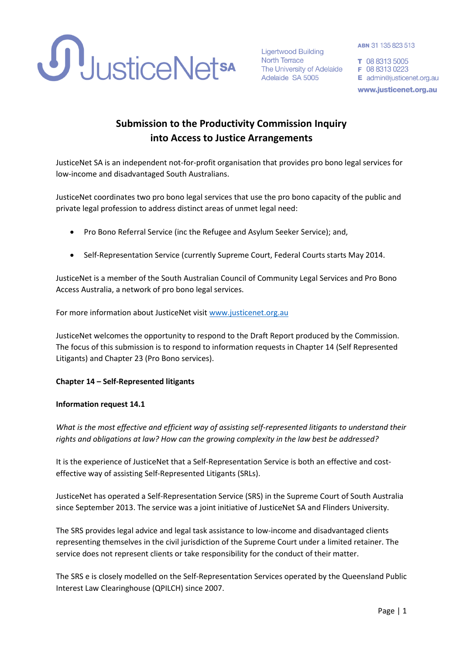

**Ligertwood Building North Terrace** The University of Adelaide Adelaide SA 5005

ABN 31 135 823 513

T 08 8313 5005 F 08 8313 0223 E admin@justicenet.org.au www.justicenet.org.au

# **Submission to the Productivity Commission Inquiry into Access to Justice Arrangements**

JusticeNet SA is an independent not-for-profit organisation that provides pro bono legal services for low-income and disadvantaged South Australians.

JusticeNet coordinates two pro bono legal services that use the pro bono capacity of the public and private legal profession to address distinct areas of unmet legal need:

- Pro Bono Referral Service (inc the Refugee and Asylum Seeker Service); and,
- Self-Representation Service (currently Supreme Court, Federal Courts starts May 2014.

JusticeNet is a member of the South Australian Council of Community Legal Services and Pro Bono Access Australia, a network of pro bono legal services.

For more information about JusticeNet visit [www.justicenet.org.au](http://www.justicenet.org.au/)

JusticeNet welcomes the opportunity to respond to the Draft Report produced by the Commission. The focus of this submission is to respond to information requests in Chapter 14 (Self Represented Litigants) and Chapter 23 (Pro Bono services).

## **Chapter 14 – Self-Represented litigants**

#### **Information request 14.1**

*What is the most effective and efficient way of assisting self-represented litigants to understand their rights and obligations at law? How can the growing complexity in the law best be addressed?*

It is the experience of JusticeNet that a Self-Representation Service is both an effective and costeffective way of assisting Self-Represented Litigants (SRLs).

JusticeNet has operated a Self-Representation Service (SRS) in the Supreme Court of South Australia since September 2013. The service was a joint initiative of JusticeNet SA and Flinders University.

The SRS provides legal advice and legal task assistance to low-income and disadvantaged clients representing themselves in the civil jurisdiction of the Supreme Court under a limited retainer. The service does not represent clients or take responsibility for the conduct of their matter.

The SRS e is closely modelled on the Self-Representation Services operated by the Queensland Public Interest Law Clearinghouse (QPILCH) since 2007.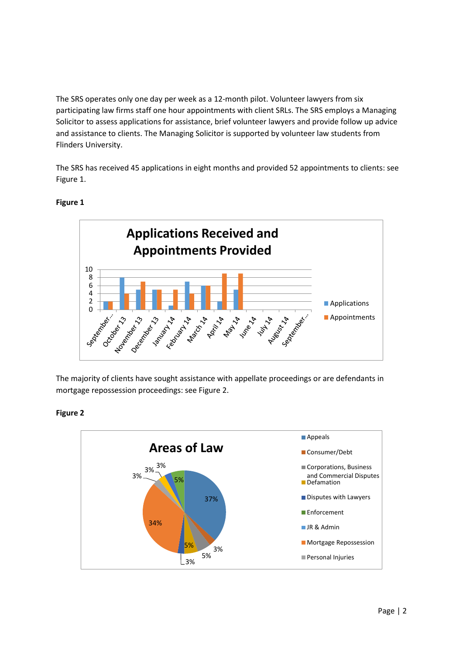The SRS operates only one day per week as a 12-month pilot. Volunteer lawyers from six participating law firms staff one hour appointments with client SRLs. The SRS employs a Managing Solicitor to assess applications for assistance, brief volunteer lawyers and provide follow up advice and assistance to clients. The Managing Solicitor is supported by volunteer law students from Flinders University.

The SRS has received 45 applications in eight months and provided 52 appointments to clients: see Figure 1.



## **Figure 1**

The majority of clients have sought assistance with appellate proceedings or are defendants in mortgage repossession proceedings: see Figure 2.



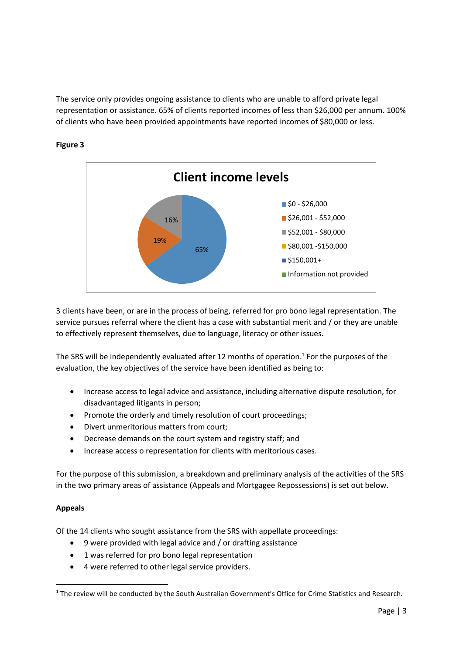The service only provides ongoing assistance to clients who are unable to afford private legal representation or assistance. 65% of clients reported incomes of less than \$26,000 per annum. 100% of clients who have been provided appointments have reported incomes of \$80,000 or less.



# **Figure 3**

3 clients have been, or are in the process of being, referred for pro bono legal representation. The service pursues referral where the client has a case with substantial merit and / or they are unable to effectively represent themselves, due to language, literacy or other issues.

The SRS will be independently evaluated after 12 months of operation. 1 For the purposes of the evaluation, the key objectives of the service have been identified as being to:

- Increase access to legal advice and assistance, including alternative dispute resolution, for disadvantaged litigants in person;
- Promote the orderly and timely resolution of court proceedings;
- Divert unmeritorious matters from court;
- Decrease demands on the court system and registry staff; and
- Increase access o representation for clients with meritorious cases.

For the purpose of this submission, a breakdown and preliminary analysis of the activities of the SRS in the two primary areas of assistance (Appeals and Mortgagee Repossessions) is set out below.

# **Appeals**

**.** 

Of the 14 clients who sought assistance from the SRS with appellate proceedings:

- 9 were provided with legal advice and / or drafting assistance
- 1 was referred for pro bono legal representation
- 4 were referred to other legal service providers.

 $1$  The review will be conducted by the South Australian Government's Office for Crime Statistics and Research.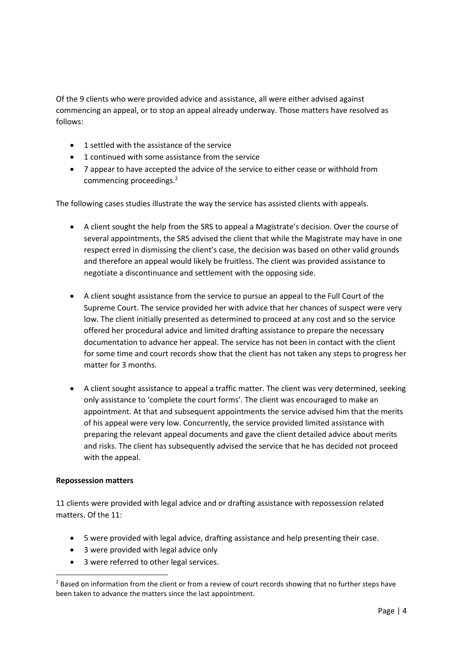Of the 9 clients who were provided advice and assistance, all were either advised against commencing an appeal, or to stop an appeal already underway. Those matters have resolved as follows:

- 1 settled with the assistance of the service
- 1 continued with some assistance from the service
- 7 appear to have accepted the advice of the service to either cease or withhold from commencing proceedings. 2

The following cases studies illustrate the way the service has assisted clients with appeals.

- A client sought the help from the SRS to appeal a Magistrate's decision. Over the course of several appointments, the SRS advised the client that while the Magistrate may have in one respect erred in dismissing the client's case, the decision was based on other valid grounds and therefore an appeal would likely be fruitless. The client was provided assistance to negotiate a discontinuance and settlement with the opposing side.
- A client sought assistance from the service to pursue an appeal to the Full Court of the Supreme Court. The service provided her with advice that her chances of suspect were very low. The client initially presented as determined to proceed at any cost and so the service offered her procedural advice and limited drafting assistance to prepare the necessary documentation to advance her appeal. The service has not been in contact with the client for some time and court records show that the client has not taken any steps to progress her matter for 3 months.
- A client sought assistance to appeal a traffic matter. The client was very determined, seeking only assistance to 'complete the court forms'. The client was encouraged to make an appointment. At that and subsequent appointments the service advised him that the merits of his appeal were very low. Concurrently, the service provided limited assistance with preparing the relevant appeal documents and gave the client detailed advice about merits and risks. The client has subsequently advised the service that he has decided not proceed with the appeal.

#### **Repossession matters**

**.** 

11 clients were provided with legal advice and or drafting assistance with repossession related matters. Of the 11:

- 5 were provided with legal advice, drafting assistance and help presenting their case.
- 3 were provided with legal advice only
- 3 were referred to other legal services.

<sup>&</sup>lt;sup>2</sup> Based on information from the client or from a review of court records showing that no further steps have been taken to advance the matters since the last appointment.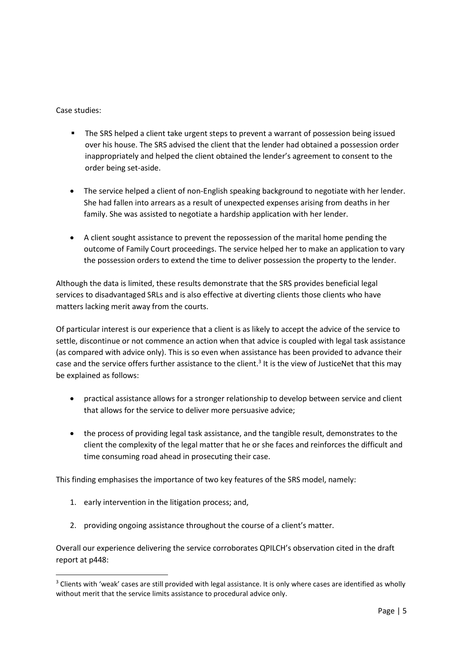Case studies:

**.** 

- **The SRS helped a client take urgent steps to prevent a warrant of possession being issued** over his house. The SRS advised the client that the lender had obtained a possession order inappropriately and helped the client obtained the lender's agreement to consent to the order being set-aside.
- The service helped a client of non-English speaking background to negotiate with her lender. She had fallen into arrears as a result of unexpected expenses arising from deaths in her family. She was assisted to negotiate a hardship application with her lender.
- A client sought assistance to prevent the repossession of the marital home pending the outcome of Family Court proceedings. The service helped her to make an application to vary the possession orders to extend the time to deliver possession the property to the lender.

Although the data is limited, these results demonstrate that the SRS provides beneficial legal services to disadvantaged SRLs and is also effective at diverting clients those clients who have matters lacking merit away from the courts.

Of particular interest is our experience that a client is as likely to accept the advice of the service to settle, discontinue or not commence an action when that advice is coupled with legal task assistance (as compared with advice only). This is so even when assistance has been provided to advance their case and the service offers further assistance to the client.<sup>3</sup> It is the view of JusticeNet that this may be explained as follows:

- practical assistance allows for a stronger relationship to develop between service and client that allows for the service to deliver more persuasive advice;
- the process of providing legal task assistance, and the tangible result, demonstrates to the client the complexity of the legal matter that he or she faces and reinforces the difficult and time consuming road ahead in prosecuting their case.

This finding emphasises the importance of two key features of the SRS model, namely:

- 1. early intervention in the litigation process; and,
- 2. providing ongoing assistance throughout the course of a client's matter.

Overall our experience delivering the service corroborates QPILCH's observation cited in the draft report at p448:

<sup>&</sup>lt;sup>3</sup> Clients with 'weak' cases are still provided with legal assistance. It is only where cases are identified as wholly without merit that the service limits assistance to procedural advice only.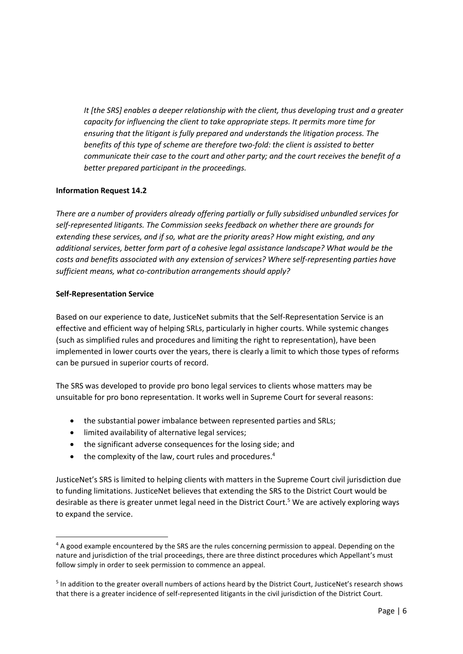*It [the SRS] enables a deeper relationship with the client, thus developing trust and a greater capacity for influencing the client to take appropriate steps. It permits more time for ensuring that the litigant is fully prepared and understands the litigation process. The benefits of this type of scheme are therefore two-fold: the client is assisted to better communicate their case to the court and other party; and the court receives the benefit of a better prepared participant in the proceedings.*

#### **Information Request 14.2**

*There are a number of providers already offering partially or fully subsidised unbundled services for self-represented litigants. The Commission seeks feedback on whether there are grounds for extending these services, and if so, what are the priority areas? How might existing, and any additional services, better form part of a cohesive legal assistance landscape? What would be the costs and benefits associated with any extension of services? Where self-representing parties have sufficient means, what co-contribution arrangements should apply?* 

#### **Self-Representation Service**

Based on our experience to date, JusticeNet submits that the Self-Representation Service is an effective and efficient way of helping SRLs, particularly in higher courts. While systemic changes (such as simplified rules and procedures and limiting the right to representation), have been implemented in lower courts over the years, there is clearly a limit to which those types of reforms can be pursued in superior courts of record.

The SRS was developed to provide pro bono legal services to clients whose matters may be unsuitable for pro bono representation. It works well in Supreme Court for several reasons:

- the substantial power imbalance between represented parties and SRLs;
- limited availability of alternative legal services;
- the significant adverse consequences for the losing side; and
- the complexity of the law, court rules and procedures.<sup>4</sup>

JusticeNet's SRS is limited to helping clients with matters in the Supreme Court civil jurisdiction due to funding limitations. JusticeNet believes that extending the SRS to the District Court would be desirable as there is greater unmet legal need in the District Court.<sup>5</sup> We are actively exploring ways to expand the service.

**<sup>.</sup>** <sup>4</sup> A good example encountered by the SRS are the rules concerning permission to appeal. Depending on the nature and jurisdiction of the trial proceedings, there are three distinct procedures which Appellant's must follow simply in order to seek permission to commence an appeal.

<sup>&</sup>lt;sup>5</sup> In addition to the greater overall numbers of actions heard by the District Court, JusticeNet's research shows that there is a greater incidence of self-represented litigants in the civil jurisdiction of the District Court.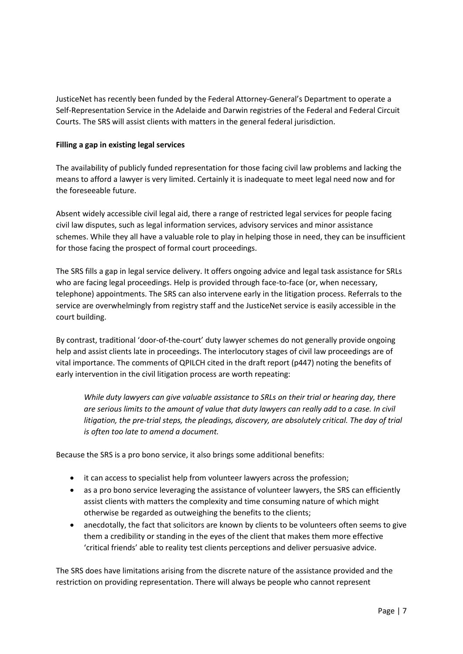JusticeNet has recently been funded by the Federal Attorney-General's Department to operate a Self-Representation Service in the Adelaide and Darwin registries of the Federal and Federal Circuit Courts. The SRS will assist clients with matters in the general federal jurisdiction.

#### **Filling a gap in existing legal services**

The availability of publicly funded representation for those facing civil law problems and lacking the means to afford a lawyer is very limited. Certainly it is inadequate to meet legal need now and for the foreseeable future.

Absent widely accessible civil legal aid, there a range of restricted legal services for people facing civil law disputes, such as legal information services, advisory services and minor assistance schemes. While they all have a valuable role to play in helping those in need, they can be insufficient for those facing the prospect of formal court proceedings.

The SRS fills a gap in legal service delivery. It offers ongoing advice and legal task assistance for SRLs who are facing legal proceedings. Help is provided through face-to-face (or, when necessary, telephone) appointments. The SRS can also intervene early in the litigation process. Referrals to the service are overwhelmingly from registry staff and the JusticeNet service is easily accessible in the court building.

By contrast, traditional 'door-of-the-court' duty lawyer schemes do not generally provide ongoing help and assist clients late in proceedings. The interlocutory stages of civil law proceedings are of vital importance. The comments of QPILCH cited in the draft report (p447) noting the benefits of early intervention in the civil litigation process are worth repeating:

*While duty lawyers can give valuable assistance to SRLs on their trial or hearing day, there are serious limits to the amount of value that duty lawyers can really add to a case. In civil*  litigation, the pre-trial steps, the pleadings, discovery, are absolutely critical. The day of trial *is often too late to amend a document.*

Because the SRS is a pro bono service, it also brings some additional benefits:

- it can access to specialist help from volunteer lawyers across the profession;
- as a pro bono service leveraging the assistance of volunteer lawyers, the SRS can efficiently assist clients with matters the complexity and time consuming nature of which might otherwise be regarded as outweighing the benefits to the clients;
- anecdotally, the fact that solicitors are known by clients to be volunteers often seems to give them a credibility or standing in the eyes of the client that makes them more effective 'critical friends' able to reality test clients perceptions and deliver persuasive advice.

The SRS does have limitations arising from the discrete nature of the assistance provided and the restriction on providing representation. There will always be people who cannot represent